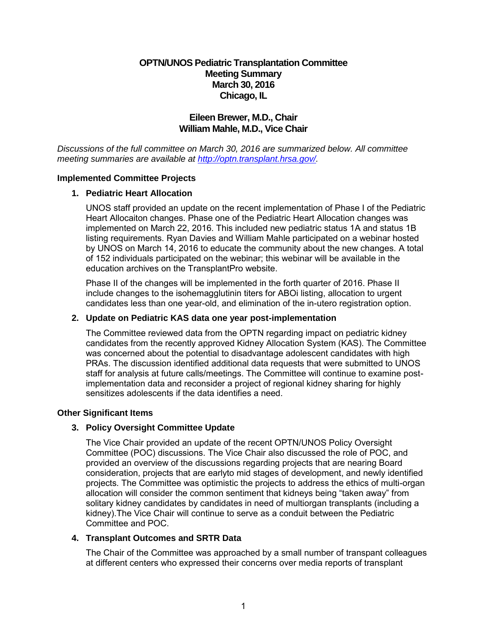# **OPTN/UNOS Pediatric Transplantation Committee Meeting Summary March 30, 2016 Chicago, IL**

# **Eileen Brewer, M.D., Chair William Mahle, M.D., Vice Chair**

*Discussions of the full committee on March 30, 2016 are summarized below. All committee meeting summaries are available at [http://optn.transplant.hrsa.gov/.](http://optn.transplant.hrsa.gov/)* 

### **Implemented Committee Projects**

### **1. Pediatric Heart Allocation**

UNOS staff provided an update on the recent implementation of Phase I of the Pediatric Heart Allocaiton changes. Phase one of the Pediatric Heart Allocation changes was implemented on March 22, 2016. This included new pediatric status 1A and status 1B listing requirements. Ryan Davies and William Mahle participated on a webinar hosted by UNOS on March 14, 2016 to educate the community about the new changes. A total of 152 individuals participated on the webinar; this webinar will be available in the education archives on the TransplantPro website.

Phase II of the changes will be implemented in the forth quarter of 2016. Phase II include changes to the isohemagglutinin titers for ABOi listing, allocation to urgent candidates less than one year-old, and elimination of the in-utero registration option.

### **2. Update on Pediatric KAS data one year post-implementation**

The Committee reviewed data from the OPTN regarding impact on pediatric kidney candidates from the recently approved Kidney Allocation System (KAS). The Committee was concerned about the potential to disadvantage adolescent candidates with high PRAs. The discussion identified additional data requests that were submitted to UNOS staff for analysis at future calls/meetings. The Committee will continue to examine postimplementation data and reconsider a project of regional kidney sharing for highly sensitizes adolescents if the data identifies a need.

## **Other Significant Items**

## **3. Policy Oversight Committee Update**

The Vice Chair provided an update of the recent OPTN/UNOS Policy Oversight Committee (POC) discussions. The Vice Chair also discussed the role of POC, and provided an overview of the discussions regarding projects that are nearing Board consideration, projects that are earlyto mid stages of development, and newly identified projects. The Committee was optimistic the projects to address the ethics of multi-organ allocation will consider the common sentiment that kidneys being "taken away" from solitary kidney candidates by candidates in need of multiorgan transplants (including a kidney).The Vice Chair will continue to serve as a conduit between the Pediatric Committee and POC.

#### **4. Transplant Outcomes and SRTR Data**

The Chair of the Committee was approached by a small number of transpant colleagues at different centers who expressed their concerns over media reports of transplant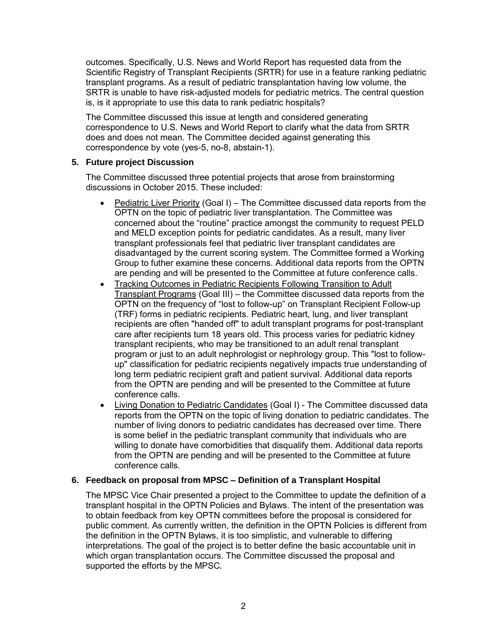outcomes. Specifically, U.S. News and World Report has requested data from the Scientific Registry of Transplant Recipients (SRTR) for use in a feature ranking pediatric transplant programs. As a result of pediatric transplantation having low volume, the SRTR is unable to have risk-adjusted models for pediatric metrics. The central question is, is it appropriate to use this data to rank pediatric hospitals?

The Committee discussed this issue at length and considered generating correspondence to U.S. News and World Report to clarify what the data from SRTR does and does not mean. The Committee decided against generating this correspondence by vote (yes-5, no-8, abstain-1).

## **5. Future project Discussion**

The Committee discussed three potential projects that arose from brainstorming discussions in October 2015. These included:

- Pediatric Liver Priority (Goal I) The Committee discussed data reports from the OPTN on the topic of pediatric liver transplantation. The Committee was concerned about the "routine" practice amongst the community to request PELD and MELD exception points for pediatric candidates. As a result, many liver transplant professionals feel that pediatric liver transplant candidates are disadvantaged by the current scoring system. The Committee formed a Working Group to futher examine these concerns. Additional data reports from the OPTN are pending and will be presented to the Committee at future conference calls.
- Tracking Outcomes in Pediatric Recipients Following Transition to Adult Transplant Programs (Goal III) – the Committee discussed data reports from the OPTN on the frequency of "lost to follow-up" on Transplant Recipient Follow-up (TRF) forms in pediatric recipients. Pediatric heart, lung, and liver transplant recipients are often "handed off" to adult transplant programs for post-transplant care after recipients turn 18 years old. This process varies for pediatric kidney transplant recipients, who may be transitioned to an adult renal transplant program or just to an adult nephrologist or nephrology group. This "lost to followup" classification for pediatric recipients negatively impacts true understanding of long term pediatric recipient graft and patient survival. Additional data reports from the OPTN are pending and will be presented to the Committee at future conference calls.
- Living Donation to Pediatric Candidates (Goal I) The Committee discussed data reports from the OPTN on the topic of living donation to pediatric candidates. The number of living donors to pediatric candidates has decreased over time. There is some belief in the pediatric transplant community that individuals who are willing to donate have comorbidities that disqualify them. Additional data reports from the OPTN are pending and will be presented to the Committee at future conference calls.

## **6. Feedback on proposal from MPSC – Definition of a Transplant Hospital**

The MPSC Vice Chair presented a project to the Committee to update the definition of a transplant hospital in the OPTN Policies and Bylaws. The intent of the presentation was to obtain feedback from key OPTN committees before the proposal is considered for public comment. As currently written, the definition in the OPTN Policies is different from the definition in the OPTN Bylaws, it is too simplistic, and vulnerable to differing interpretations. The goal of the project is to better define the basic accountable unit in which organ transplantation occurs. The Committee discussed the proposal and supported the efforts by the MPSC*.*